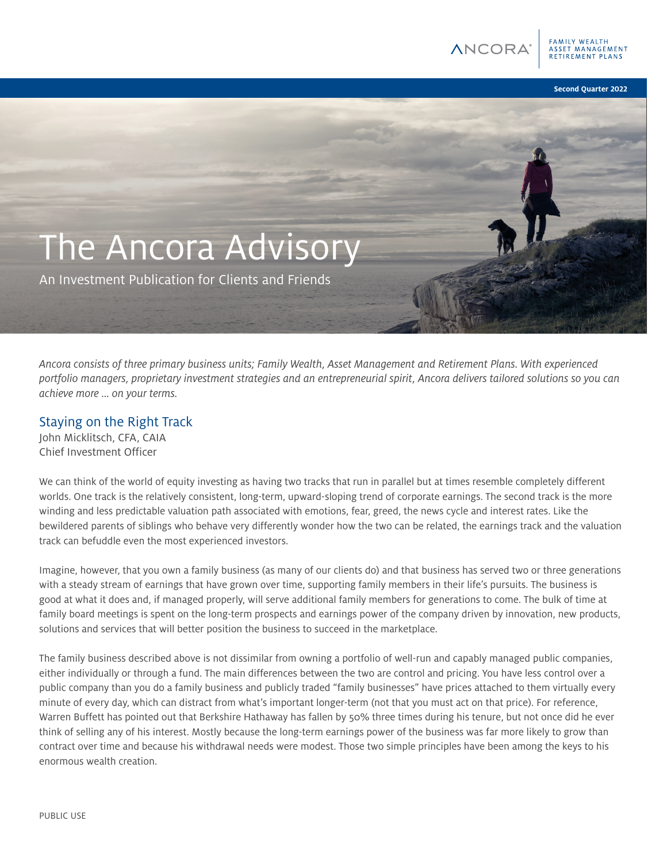ANCOR

SET MANAGEMENT

**Second Quarter 2022**

# The Ancora Advisory

An Investment Publication for Clients and Friends

*Ancora consists of three primary business units; Family Wealth, Asset Management and Retirement Plans. With experienced portfolio managers, proprietary investment strategies and an entrepreneurial spirit, Ancora delivers tailored solutions so you can achieve more ... on your terms.*

## Staying on the Right Track

John Micklitsch, CFA, CAIA Chief Investment Officer

We can think of the world of equity investing as having two tracks that run in parallel but at times resemble completely different worlds. One track is the relatively consistent, long-term, upward-sloping trend of corporate earnings. The second track is the more winding and less predictable valuation path associated with emotions, fear, greed, the news cycle and interest rates. Like the bewildered parents of siblings who behave very differently wonder how the two can be related, the earnings track and the valuation track can befuddle even the most experienced investors.

Imagine, however, that you own a family business (as many of our clients do) and that business has served two or three generations with a steady stream of earnings that have grown over time, supporting family members in their life's pursuits. The business is good at what it does and, if managed properly, will serve additional family members for generations to come. The bulk of time at family board meetings is spent on the long-term prospects and earnings power of the company driven by innovation, new products, solutions and services that will better position the business to succeed in the marketplace.

The family business described above is not dissimilar from owning a portfolio of well-run and capably managed public companies, either individually or through a fund. The main differences between the two are control and pricing. You have less control over a public company than you do a family business and publicly traded "family businesses" have prices attached to them virtually every minute of every day, which can distract from what's important longer-term (not that you must act on that price). For reference, Warren Buffett has pointed out that Berkshire Hathaway has fallen by 50% three times during his tenure, but not once did he ever think of selling any of his interest. Mostly because the long-term earnings power of the business was far more likely to grow than contract over time and because his withdrawal needs were modest. Those two simple principles have been among the keys to his enormous wealth creation.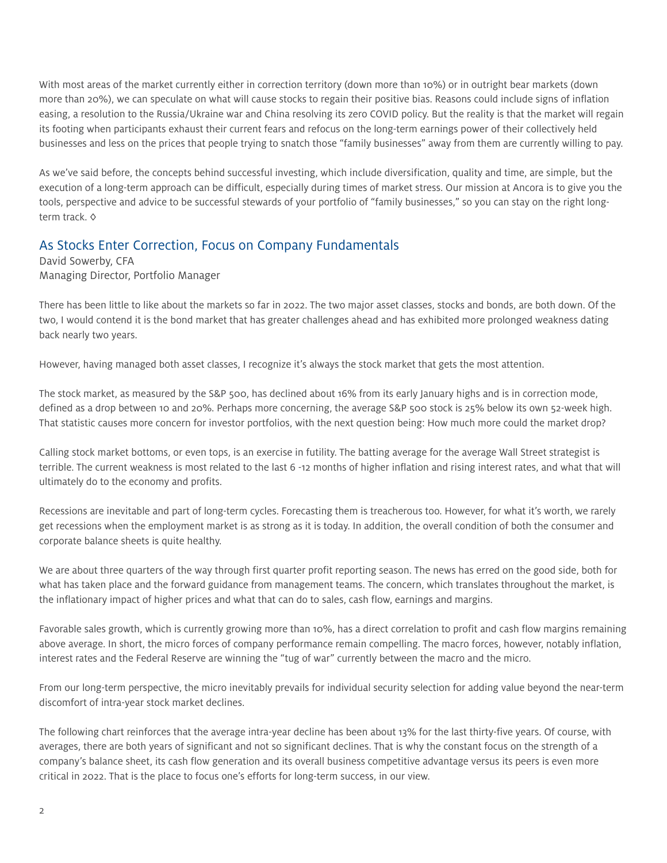With most areas of the market currently either in correction territory (down more than 10%) or in outright bear markets (down more than 20%), we can speculate on what will cause stocks to regain their positive bias. Reasons could include signs of inflation easing, a resolution to the Russia/Ukraine war and China resolving its zero COVID policy. But the reality is that the market will regain its footing when participants exhaust their current fears and refocus on the long-term earnings power of their collectively held businesses and less on the prices that people trying to snatch those "family businesses" away from them are currently willing to pay.

As we've said before, the concepts behind successful investing, which include diversification, quality and time, are simple, but the execution of a long-term approach can be difficult, especially during times of market stress. Our mission at Ancora is to give you the tools, perspective and advice to be successful stewards of your portfolio of "family businesses," so you can stay on the right longterm track. ◊

## As Stocks Enter Correction, Focus on Company Fundamentals

David Sowerby, CFA Managing Director, Portfolio Manager

There has been little to like about the markets so far in 2022. The two major asset classes, stocks and bonds, are both down. Of the two, I would contend it is the bond market that has greater challenges ahead and has exhibited more prolonged weakness dating back nearly two years.

However, having managed both asset classes, I recognize it's always the stock market that gets the most attention.

The stock market, as measured by the S&P 500, has declined about 16% from its early January highs and is in correction mode, defined as a drop between 10 and 20%. Perhaps more concerning, the average S&P 500 stock is 25% below its own 52-week high. That statistic causes more concern for investor portfolios, with the next question being: How much more could the market drop?

Calling stock market bottoms, or even tops, is an exercise in futility. The batting average for the average Wall Street strategist is terrible. The current weakness is most related to the last 6 -12 months of higher inflation and rising interest rates, and what that will ultimately do to the economy and profits.

Recessions are inevitable and part of long-term cycles. Forecasting them is treacherous too. However, for what it's worth, we rarely get recessions when the employment market is as strong as it is today. In addition, the overall condition of both the consumer and corporate balance sheets is quite healthy.

We are about three quarters of the way through first quarter profit reporting season. The news has erred on the good side, both for what has taken place and the forward guidance from management teams. The concern, which translates throughout the market, is the inflationary impact of higher prices and what that can do to sales, cash flow, earnings and margins.

Favorable sales growth, which is currently growing more than 10%, has a direct correlation to profit and cash flow margins remaining above average. In short, the micro forces of company performance remain compelling. The macro forces, however, notably inflation, interest rates and the Federal Reserve are winning the "tug of war" currently between the macro and the micro.

From our long-term perspective, the micro inevitably prevails for individual security selection for adding value beyond the near-term discomfort of intra-year stock market declines.

The following chart reinforces that the average intra-year decline has been about 13% for the last thirty-five years. Of course, with averages, there are both years of significant and not so significant declines. That is why the constant focus on the strength of a company's balance sheet, its cash flow generation and its overall business competitive advantage versus its peers is even more critical in 2022. That is the place to focus one's efforts for long-term success, in our view.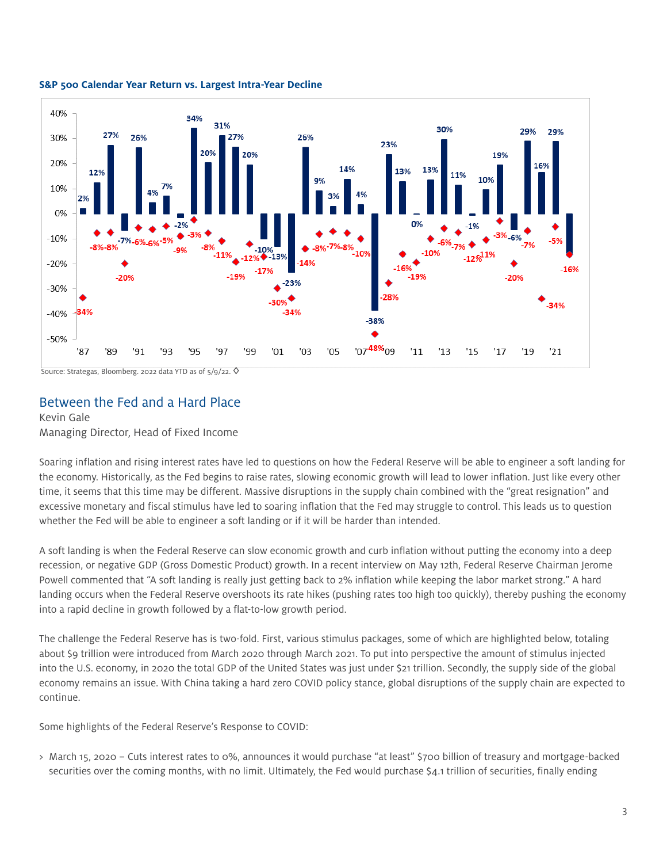

#### **S&P 500 Calendar Year Return vs. Largest Intra-Year Decline**

Source: Strategas, Bloomberg. 2022 data YTD as of 5/9/22.  $\lozenge$ 

## Between the Fed and a Hard Place

#### Kevin Gale Managing Director, Head of Fixed Income

Soaring inflation and rising interest rates have led to questions on how the Federal Reserve will be able to engineer a soft landing for the economy. Historically, as the Fed begins to raise rates, slowing economic growth will lead to lower inflation. Just like every other time, it seems that this time may be different. Massive disruptions in the supply chain combined with the "great resignation" and excessive monetary and fiscal stimulus have led to soaring inflation that the Fed may struggle to control. This leads us to question whether the Fed will be able to engineer a soft landing or if it will be harder than intended.

A soft landing is when the Federal Reserve can slow economic growth and curb inflation without putting the economy into a deep recession, or negative GDP (Gross Domestic Product) growth. In a recent interview on May 12th, Federal Reserve Chairman Jerome Powell commented that "A soft landing is really just getting back to 2% inflation while keeping the labor market strong." A hard landing occurs when the Federal Reserve overshoots its rate hikes (pushing rates too high too quickly), thereby pushing the economy into a rapid decline in growth followed by a flat-to-low growth period.

The challenge the Federal Reserve has is two-fold. First, various stimulus packages, some of which are highlighted below, totaling about \$9 trillion were introduced from March 2020 through March 2021. To put into perspective the amount of stimulus injected into the U.S. economy, in 2020 the total GDP of the United States was just under \$21 trillion. Secondly, the supply side of the global economy remains an issue. With China taking a hard zero COVID policy stance, global disruptions of the supply chain are expected to continue.

Some highlights of the Federal Reserve's Response to COVID:

> March 15, 2020 – Cuts interest rates to 0%, announces it would purchase "at least" \$700 billion of treasury and mortgage-backed securities over the coming months, with no limit. Ultimately, the Fed would purchase \$4.1 trillion of securities, finally ending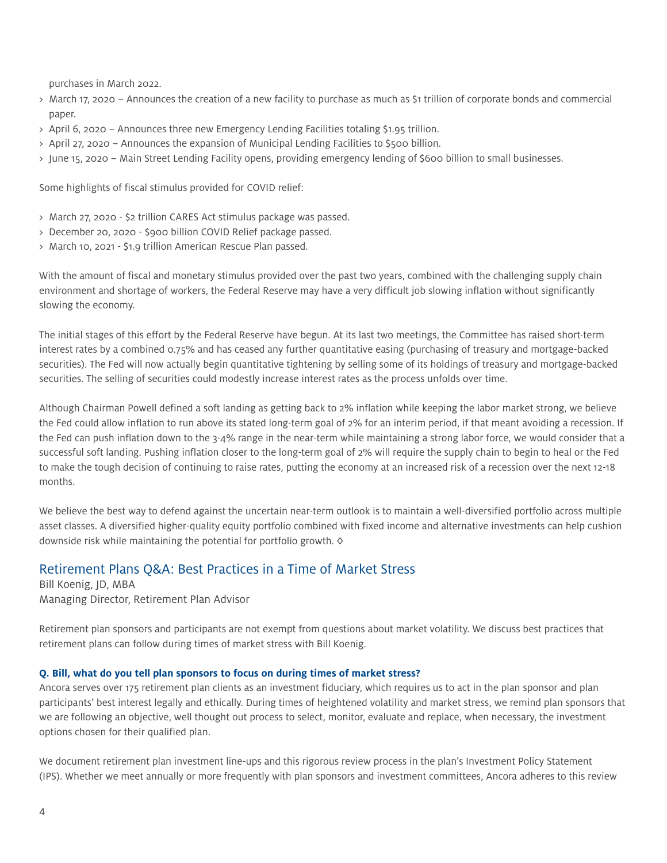purchases in March 2022.

- > March 17, 2020 Announces the creation of a new facility to purchase as much as \$1 trillion of corporate bonds and commercial paper.
- > April 6, 2020 Announces three new Emergency Lending Facilities totaling \$1.95 trillion.
- > April 27, 2020 Announces the expansion of Municipal Lending Facilities to \$500 billion.
- > June 15, 2020 Main Street Lending Facility opens, providing emergency lending of \$600 billion to small businesses.

Some highlights of fiscal stimulus provided for COVID relief:

- > March 27, 2020 \$2 trillion CARES Act stimulus package was passed.
- > December 20, 2020 \$900 billion COVID Relief package passed.
- > March 10, 2021 \$1.9 trillion American Rescue Plan passed.

With the amount of fiscal and monetary stimulus provided over the past two years, combined with the challenging supply chain environment and shortage of workers, the Federal Reserve may have a very difficult job slowing inflation without significantly slowing the economy.

The initial stages of this effort by the Federal Reserve have begun. At its last two meetings, the Committee has raised short-term interest rates by a combined 0.75% and has ceased any further quantitative easing (purchasing of treasury and mortgage-backed securities). The Fed will now actually begin quantitative tightening by selling some of its holdings of treasury and mortgage-backed securities. The selling of securities could modestly increase interest rates as the process unfolds over time.

Although Chairman Powell defined a soft landing as getting back to 2% inflation while keeping the labor market strong, we believe the Fed could allow inflation to run above its stated long-term goal of 2% for an interim period, if that meant avoiding a recession. If the Fed can push inflation down to the 3-4% range in the near-term while maintaining a strong labor force, we would consider that a successful soft landing. Pushing inflation closer to the long-term goal of 2% will require the supply chain to begin to heal or the Fed to make the tough decision of continuing to raise rates, putting the economy at an increased risk of a recession over the next 12-18 months.

We believe the best way to defend against the uncertain near-term outlook is to maintain a well-diversified portfolio across multiple asset classes. A diversified higher-quality equity portfolio combined with fixed income and alternative investments can help cushion downside risk while maintaining the potential for portfolio growth.  $\diamond$ 

## Retirement Plans Q&A: Best Practices in a Time of Market Stress

Bill Koenig, JD, MBA Managing Director, Retirement Plan Advisor

Retirement plan sponsors and participants are not exempt from questions about market volatility. We discuss best practices that retirement plans can follow during times of market stress with Bill Koenig.

#### **Q. Bill, what do you tell plan sponsors to focus on during times of market stress?**

Ancora serves over 175 retirement plan clients as an investment fiduciary, which requires us to act in the plan sponsor and plan participants' best interest legally and ethically. During times of heightened volatility and market stress, we remind plan sponsors that we are following an objective, well thought out process to select, monitor, evaluate and replace, when necessary, the investment options chosen for their qualified plan.

We document retirement plan investment line-ups and this rigorous review process in the plan's Investment Policy Statement (IPS). Whether we meet annually or more frequently with plan sponsors and investment committees, Ancora adheres to this review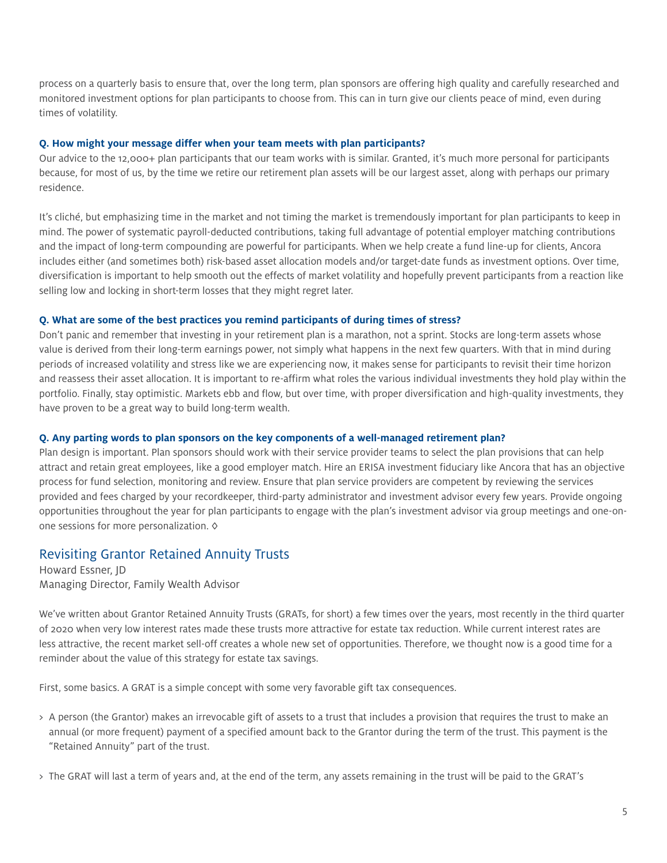process on a quarterly basis to ensure that, over the long term, plan sponsors are offering high quality and carefully researched and monitored investment options for plan participants to choose from. This can in turn give our clients peace of mind, even during times of volatility.

#### **Q. How might your message differ when your team meets with plan participants?**

Our advice to the 12,000+ plan participants that our team works with is similar. Granted, it's much more personal for participants because, for most of us, by the time we retire our retirement plan assets will be our largest asset, along with perhaps our primary residence.

It's cliché, but emphasizing time in the market and not timing the market is tremendously important for plan participants to keep in mind. The power of systematic payroll-deducted contributions, taking full advantage of potential employer matching contributions and the impact of long-term compounding are powerful for participants. When we help create a fund line-up for clients, Ancora includes either (and sometimes both) risk-based asset allocation models and/or target-date funds as investment options. Over time, diversification is important to help smooth out the effects of market volatility and hopefully prevent participants from a reaction like selling low and locking in short-term losses that they might regret later.

#### **Q. What are some of the best practices you remind participants of during times of stress?**

Don't panic and remember that investing in your retirement plan is a marathon, not a sprint. Stocks are long-term assets whose value is derived from their long-term earnings power, not simply what happens in the next few quarters. With that in mind during periods of increased volatility and stress like we are experiencing now, it makes sense for participants to revisit their time horizon and reassess their asset allocation. It is important to re-affirm what roles the various individual investments they hold play within the portfolio. Finally, stay optimistic. Markets ebb and flow, but over time, with proper diversification and high-quality investments, they have proven to be a great way to build long-term wealth.

#### **Q. Any parting words to plan sponsors on the key components of a well-managed retirement plan?**

Plan design is important. Plan sponsors should work with their service provider teams to select the plan provisions that can help attract and retain great employees, like a good employer match. Hire an ERISA investment fiduciary like Ancora that has an objective process for fund selection, monitoring and review. Ensure that plan service providers are competent by reviewing the services provided and fees charged by your recordkeeper, third-party administrator and investment advisor every few years. Provide ongoing opportunities throughout the year for plan participants to engage with the plan's investment advisor via group meetings and one-onone sessions for more personalization. ◊

### Revisiting Grantor Retained Annuity Trusts

Howard Essner, JD Managing Director, Family Wealth Advisor

We've written about Grantor Retained Annuity Trusts (GRATs, for short) a few times over the years, most recently in the third quarter of 2020 when very low interest rates made these trusts more attractive for estate tax reduction. While current interest rates are less attractive, the recent market sell-off creates a whole new set of opportunities. Therefore, we thought now is a good time for a reminder about the value of this strategy for estate tax savings.

First, some basics. A GRAT is a simple concept with some very favorable gift tax consequences.

- > A person (the Grantor) makes an irrevocable gift of assets to a trust that includes a provision that requires the trust to make an annual (or more frequent) payment of a specified amount back to the Grantor during the term of the trust. This payment is the "Retained Annuity" part of the trust.
- > The GRAT will last a term of years and, at the end of the term, any assets remaining in the trust will be paid to the GRAT's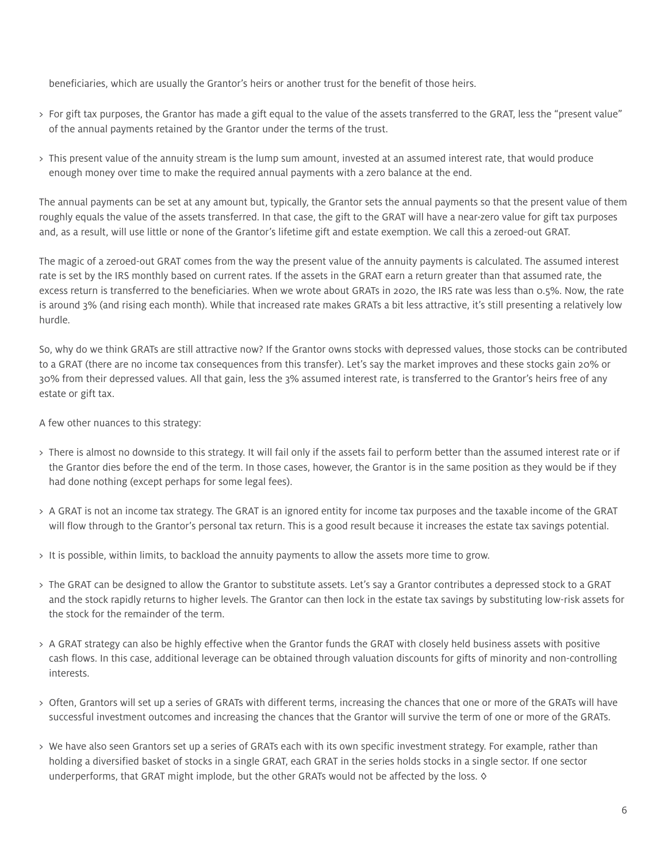beneficiaries, which are usually the Grantor's heirs or another trust for the benefit of those heirs.

- > For gift tax purposes, the Grantor has made a gift equal to the value of the assets transferred to the GRAT, less the "present value" of the annual payments retained by the Grantor under the terms of the trust.
- > This present value of the annuity stream is the lump sum amount, invested at an assumed interest rate, that would produce enough money over time to make the required annual payments with a zero balance at the end.

The annual payments can be set at any amount but, typically, the Grantor sets the annual payments so that the present value of them roughly equals the value of the assets transferred. In that case, the gift to the GRAT will have a near-zero value for gift tax purposes and, as a result, will use little or none of the Grantor's lifetime gift and estate exemption. We call this a zeroed-out GRAT.

The magic of a zeroed-out GRAT comes from the way the present value of the annuity payments is calculated. The assumed interest rate is set by the IRS monthly based on current rates. If the assets in the GRAT earn a return greater than that assumed rate, the excess return is transferred to the beneficiaries. When we wrote about GRATs in 2020, the IRS rate was less than 0.5%. Now, the rate is around 3% (and rising each month). While that increased rate makes GRATs a bit less attractive, it's still presenting a relatively low hurdle.

So, why do we think GRATs are still attractive now? If the Grantor owns stocks with depressed values, those stocks can be contributed to a GRAT (there are no income tax consequences from this transfer). Let's say the market improves and these stocks gain 20% or 30% from their depressed values. All that gain, less the 3% assumed interest rate, is transferred to the Grantor's heirs free of any estate or gift tax.

A few other nuances to this strategy:

- > There is almost no downside to this strategy. It will fail only if the assets fail to perform better than the assumed interest rate or if the Grantor dies before the end of the term. In those cases, however, the Grantor is in the same position as they would be if they had done nothing (except perhaps for some legal fees).
- > A GRAT is not an income tax strategy. The GRAT is an ignored entity for income tax purposes and the taxable income of the GRAT will flow through to the Grantor's personal tax return. This is a good result because it increases the estate tax savings potential.
- > It is possible, within limits, to backload the annuity payments to allow the assets more time to grow.
- > The GRAT can be designed to allow the Grantor to substitute assets. Let's say a Grantor contributes a depressed stock to a GRAT and the stock rapidly returns to higher levels. The Grantor can then lock in the estate tax savings by substituting low-risk assets for the stock for the remainder of the term.
- > A GRAT strategy can also be highly effective when the Grantor funds the GRAT with closely held business assets with positive cash flows. In this case, additional leverage can be obtained through valuation discounts for gifts of minority and non-controlling interests.
- > Often, Grantors will set up a series of GRATs with different terms, increasing the chances that one or more of the GRATs will have successful investment outcomes and increasing the chances that the Grantor will survive the term of one or more of the GRATs.
- > We have also seen Grantors set up a series of GRATs each with its own specific investment strategy. For example, rather than holding a diversified basket of stocks in a single GRAT, each GRAT in the series holds stocks in a single sector. If one sector underperforms, that GRAT might implode, but the other GRATs would not be affected by the loss.  $\diamond$